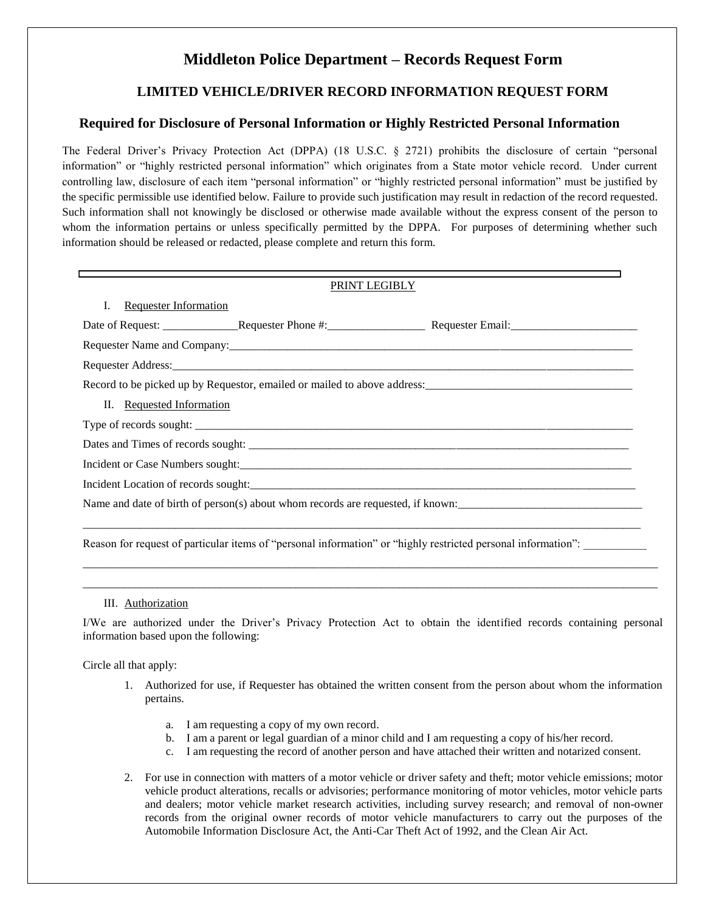# **Middleton Police Department – Records Request Form**

## **LIMITED VEHICLE/DRIVER RECORD INFORMATION REQUEST FORM**

### **Required for Disclosure of Personal Information or Highly Restricted Personal Information**

The Federal Driver's Privacy Protection Act (DPPA) (18 U.S.C. § 2721) prohibits the disclosure of certain "personal information" or "highly restricted personal information" which originates from a State motor vehicle record. Under current controlling law, disclosure of each item "personal information" or "highly restricted personal information" must be justified by the specific permissible use identified below. Failure to provide such justification may result in redaction of the record requested. Such information shall not knowingly be disclosed or otherwise made available without the express consent of the person to whom the information pertains or unless specifically permitted by the DPPA. For purposes of determining whether such information should be released or redacted, please complete and return this form.

| PRINT LEGIBLY                                                                                                 |  |
|---------------------------------------------------------------------------------------------------------------|--|
| Ι.<br><b>Requester Information</b>                                                                            |  |
|                                                                                                               |  |
|                                                                                                               |  |
|                                                                                                               |  |
|                                                                                                               |  |
| II. Requested Information                                                                                     |  |
|                                                                                                               |  |
|                                                                                                               |  |
|                                                                                                               |  |
|                                                                                                               |  |
| Name and date of birth of person(s) about whom records are requested, if known:                               |  |
|                                                                                                               |  |
| Reason for request of particular items of "personal information" or "highly restricted personal information": |  |

#### III. Authorization

I/We are authorized under the Driver's Privacy Protection Act to obtain the identified records containing personal information based upon the following:

\_\_\_\_\_\_\_\_\_\_\_\_\_\_\_\_\_\_\_\_\_\_\_\_\_\_\_\_\_\_\_\_\_\_\_\_\_\_\_\_\_\_\_\_\_\_\_\_\_\_\_\_\_\_\_\_\_\_\_\_\_\_\_\_\_\_\_\_\_\_\_\_\_\_\_\_\_\_\_\_\_\_\_\_\_\_\_\_\_\_\_\_\_\_\_\_\_\_\_\_ \_\_\_\_\_\_\_\_\_\_\_\_\_\_\_\_\_\_\_\_\_\_\_\_\_\_\_\_\_\_\_\_\_\_\_\_\_\_\_\_\_\_\_\_\_\_\_\_\_\_\_\_\_\_\_\_\_\_\_\_\_\_\_\_\_\_\_\_\_\_\_\_\_\_\_\_\_\_\_\_\_\_\_\_\_\_\_\_\_\_\_\_\_\_\_\_\_\_\_\_

Circle all that apply:

- 1. Authorized for use, if Requester has obtained the written consent from the person about whom the information pertains.
	- a. I am requesting a copy of my own record.
	- b. I am a parent or legal guardian of a minor child and I am requesting a copy of his/her record.
	- c. I am requesting the record of another person and have attached their written and notarized consent.
- 2. For use in connection with matters of a motor vehicle or driver safety and theft; motor vehicle emissions; motor vehicle product alterations, recalls or advisories; performance monitoring of motor vehicles, motor vehicle parts and dealers; motor vehicle market research activities, including survey research; and removal of non-owner records from the original owner records of motor vehicle manufacturers to carry out the purposes of the Automobile Information Disclosure Act, the Anti-Car Theft Act of 1992, and the Clean Air Act.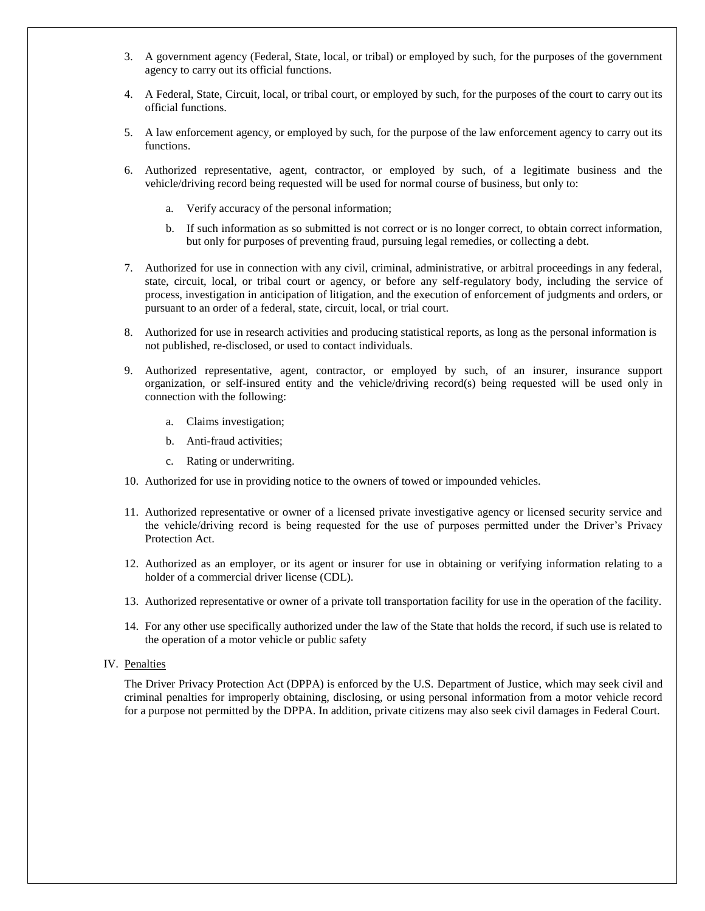- 3. A government agency (Federal, State, local, or tribal) or employed by such, for the purposes of the government agency to carry out its official functions.
- 4. A Federal, State, Circuit, local, or tribal court, or employed by such, for the purposes of the court to carry out its official functions.
- 5. A law enforcement agency, or employed by such, for the purpose of the law enforcement agency to carry out its functions.
- 6. Authorized representative, agent, contractor, or employed by such, of a legitimate business and the vehicle/driving record being requested will be used for normal course of business, but only to:
	- a. Verify accuracy of the personal information;
	- b. If such information as so submitted is not correct or is no longer correct, to obtain correct information, but only for purposes of preventing fraud, pursuing legal remedies, or collecting a debt.
- 7. Authorized for use in connection with any civil, criminal, administrative, or arbitral proceedings in any federal, state, circuit, local, or tribal court or agency, or before any self-regulatory body, including the service of process, investigation in anticipation of litigation, and the execution of enforcement of judgments and orders, or pursuant to an order of a federal, state, circuit, local, or trial court.
- 8. Authorized for use in research activities and producing statistical reports, as long as the personal information is not published, re-disclosed, or used to contact individuals.
- 9. Authorized representative, agent, contractor, or employed by such, of an insurer, insurance support organization, or self-insured entity and the vehicle/driving record(s) being requested will be used only in connection with the following:
	- a. Claims investigation;
	- b. Anti-fraud activities;
	- c. Rating or underwriting.
- 10. Authorized for use in providing notice to the owners of towed or impounded vehicles.
- 11. Authorized representative or owner of a licensed private investigative agency or licensed security service and the vehicle/driving record is being requested for the use of purposes permitted under the Driver's Privacy Protection Act.
- 12. Authorized as an employer, or its agent or insurer for use in obtaining or verifying information relating to a holder of a commercial driver license (CDL).
- 13. Authorized representative or owner of a private toll transportation facility for use in the operation of the facility.
- 14. For any other use specifically authorized under the law of the State that holds the record, if such use is related to the operation of a motor vehicle or public safety
- IV. Penalties

The Driver Privacy Protection Act (DPPA) is enforced by the U.S. Department of Justice, which may seek civil and criminal penalties for improperly obtaining, disclosing, or using personal information from a motor vehicle record for a purpose not permitted by the DPPA. In addition, private citizens may also seek civil damages in Federal Court.